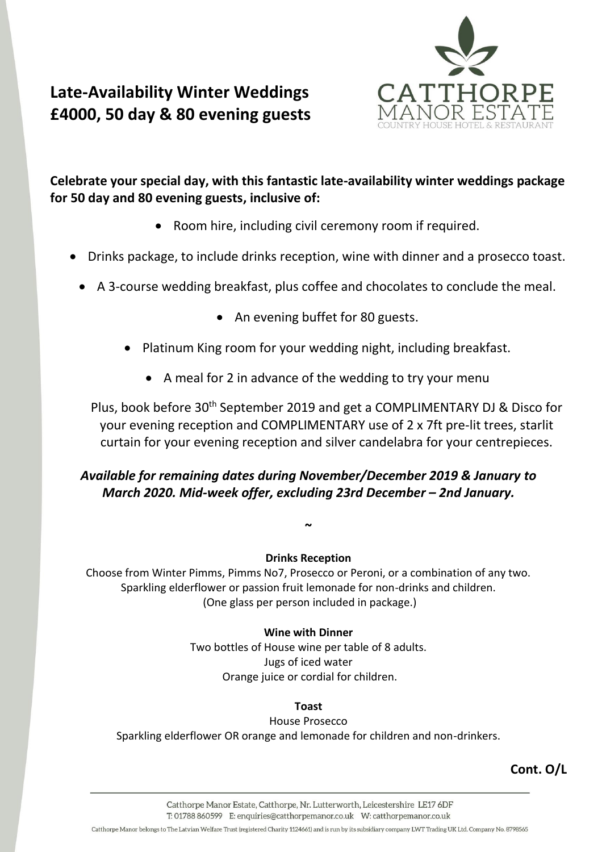

# **Late-Availability Winter Weddings £4000, 50 day & 80 evening guests**

**Celebrate your special day, with this fantastic late-availability winter weddings package for 50 day and 80 evening guests, inclusive of:**

- Room hire, including civil ceremony room if required.
- Drinks package, to include drinks reception, wine with dinner and a prosecco toast.
- A 3-course wedding breakfast, plus coffee and chocolates to conclude the meal.
	- An evening buffet for 80 guests.
	- Platinum King room for your wedding night, including breakfast.
		- A meal for 2 in advance of the wedding to try your menu

Plus, book before 30th September 2019 and get a COMPLIMENTARY DJ & Disco for your evening reception and COMPLIMENTARY use of 2 x 7ft pre-lit trees, starlit curtain for your evening reception and silver candelabra for your centrepieces.

## *Available for remaining dates during November/December 2019 & January to March 2020. Mid-week offer, excluding 23rd December – 2nd January.*

#### **Drinks Reception**

**~**

Choose from Winter Pimms, Pimms No7, Prosecco or Peroni, or a combination of any two. Sparkling elderflower or passion fruit lemonade for non-drinks and children. (One glass per person included in package.)

#### **Wine with Dinner**

Two bottles of House wine per table of 8 adults. Jugs of iced water Orange juice or cordial for children.

#### **Toast**

House Prosecco Sparkling elderflower OR orange and lemonade for children and non-drinkers.

**Cont. O/L**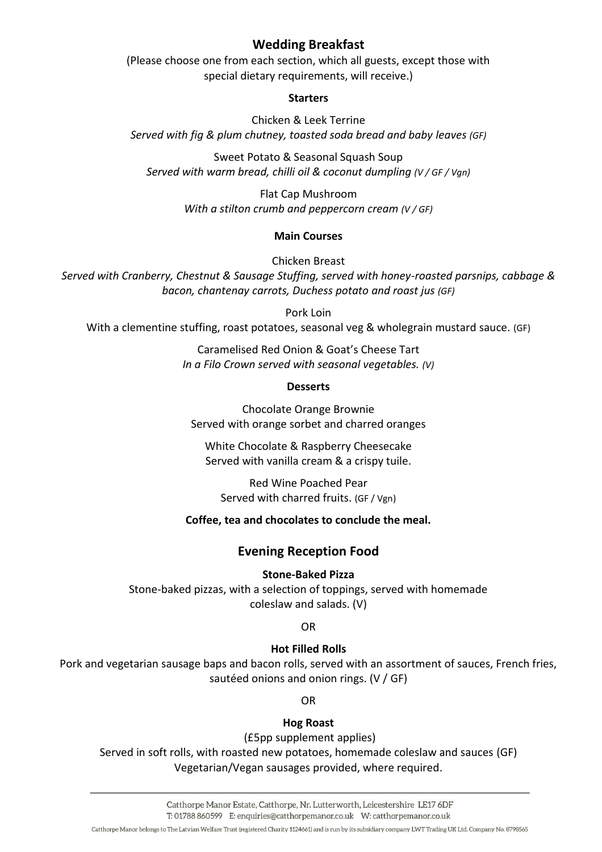## **Wedding Breakfast**

(Please choose one from each section, which all guests, except those with special dietary requirements, will receive.)

#### **Starters**

Chicken & Leek Terrine *Served with fig & plum chutney, toasted soda bread and baby leaves (GF)*

Sweet Potato & Seasonal Squash Soup *Served with warm bread, chilli oil & coconut dumpling (V / GF / Vgn)*

> Flat Cap Mushroom *With a stilton crumb and peppercorn cream (V / GF)*

#### **Main Courses**

Chicken Breast

*Served with Cranberry, Chestnut & Sausage Stuffing, served with honey-roasted parsnips, cabbage & bacon, chantenay carrots, Duchess potato and roast jus (GF)*

Pork Loin

With a clementine stuffing, roast potatoes, seasonal veg & wholegrain mustard sauce. (GF)

Caramelised Red Onion & Goat's Cheese Tart *In a Filo Crown served with seasonal vegetables. (V)*

#### **Desserts**

Chocolate Orange Brownie Served with orange sorbet and charred oranges

White Chocolate & Raspberry Cheesecake Served with vanilla cream & a crispy tuile.

Red Wine Poached Pear Served with charred fruits. (GF / Vgn)

#### **Coffee, tea and chocolates to conclude the meal.**

## **Evening Reception Food**

#### **Stone-Baked Pizza**

Stone-baked pizzas, with a selection of toppings, served with homemade coleslaw and salads. (V)

OR

#### **Hot Filled Rolls**

Pork and vegetarian sausage baps and bacon rolls, served with an assortment of sauces, French fries, sautéed onions and onion rings. (V / GF)

OR

## **Hog Roast**

(£5pp supplement applies)

Served in soft rolls, with roasted new potatoes, homemade coleslaw and sauces (GF) Vegetarian/Vegan sausages provided, where required.

Catthorpe Manor belongs to The Latvian Welfare Trust (registered Charity 1124661) and is run by its subsidiary company LWT Trading UK Ltd. Company No. 8798565